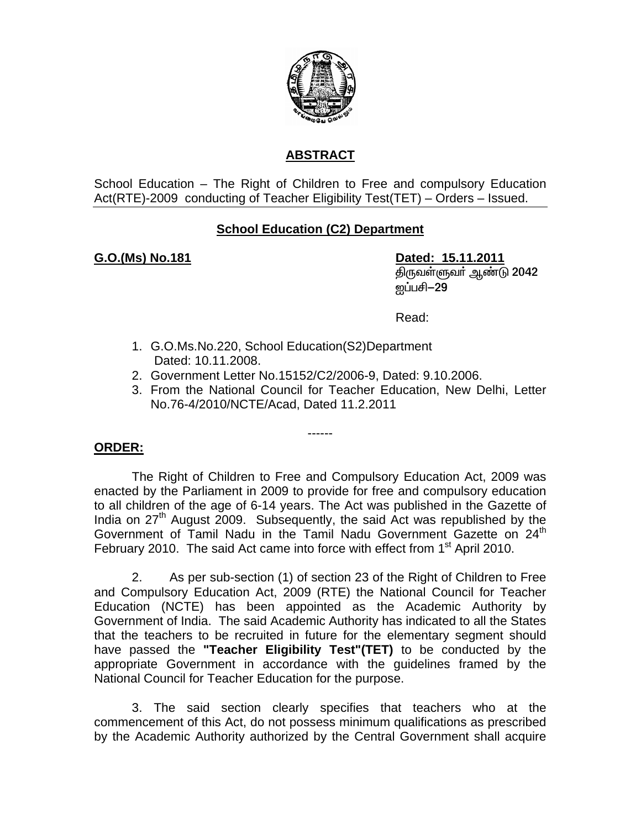

# **ABSTRACT**

School Education – The Right of Children to Free and compulsory Education Act(RTE)-2009 conducting of Teacher Eligibility Test(TET) – Orders – Issued.

# **School Education (C2) Department**

**G.O.(Ms) No.181 Dated: 15.11.2011** திருவள்ளுவர் ஆண்டு 2042 <u> ஐப்ப</u>சி−29

**Read:** The contract of the contract of the Read:

- 1. G.O.Ms.No.220, School Education(S2)Department Dated: 10.11.2008.
- 2. Government Letter No.15152/C2/2006-9, Dated: 9.10.2006.
- 3. From the National Council for Teacher Education, New Delhi, Letter No.76-4/2010/NCTE/Acad, Dated 11.2.2011

## **ORDER:**

 The Right of Children to Free and Compulsory Education Act, 2009 was enacted by the Parliament in 2009 to provide for free and compulsory education to all children of the age of 6-14 years. The Act was published in the Gazette of India on 27<sup>th</sup> August 2009. Subsequently, the said Act was republished by the Government of Tamil Nadu in the Tamil Nadu Government Gazette on  $24^{\text{m}}$ February 2010. The said Act came into force with effect from 1<sup>st</sup> April 2010.

------

 2. As per sub-section (1) of section 23 of the Right of Children to Free and Compulsory Education Act, 2009 (RTE) the National Council for Teacher Education (NCTE) has been appointed as the Academic Authority by Government of India. The said Academic Authority has indicated to all the States that the teachers to be recruited in future for the elementary segment should have passed the **"Teacher Eligibility Test"(TET)** to be conducted by the appropriate Government in accordance with the guidelines framed by the National Council for Teacher Education for the purpose.

 3. The said section clearly specifies that teachers who at the commencement of this Act, do not possess minimum qualifications as prescribed by the Academic Authority authorized by the Central Government shall acquire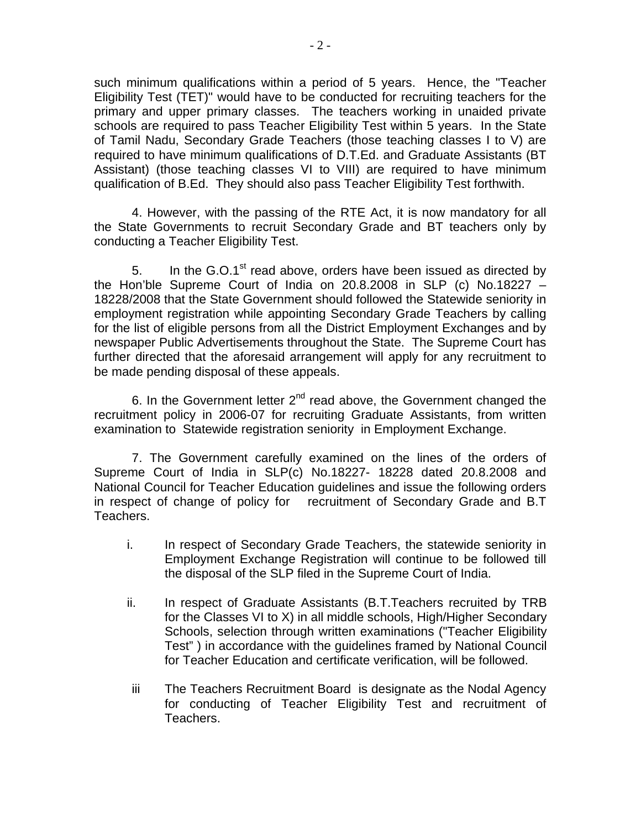such minimum qualifications within a period of 5 years. Hence, the "Teacher Eligibility Test (TET)" would have to be conducted for recruiting teachers for the primary and upper primary classes. The teachers working in unaided private schools are required to pass Teacher Eligibility Test within 5 years. In the State of Tamil Nadu, Secondary Grade Teachers (those teaching classes I to V) are required to have minimum qualifications of D.T.Ed. and Graduate Assistants (BT Assistant) (those teaching classes VI to VIII) are required to have minimum qualification of B.Ed. They should also pass Teacher Eligibility Test forthwith.

4. However, with the passing of the RTE Act, it is now mandatory for all the State Governments to recruit Secondary Grade and BT teachers only by conducting a Teacher Eligibility Test.

5. In the G.O.1<sup>st</sup> read above, orders have been issued as directed by the Hon'ble Supreme Court of India on 20.8.2008 in SLP (c) No.18227 – 18228/2008 that the State Government should followed the Statewide seniority in employment registration while appointing Secondary Grade Teachers by calling for the list of eligible persons from all the District Employment Exchanges and by newspaper Public Advertisements throughout the State. The Supreme Court has further directed that the aforesaid arrangement will apply for any recruitment to be made pending disposal of these appeals.

6. In the Government letter  $2^{nd}$  read above, the Government changed the recruitment policy in 2006-07 for recruiting Graduate Assistants, from written examination to Statewide registration seniority in Employment Exchange.

7. The Government carefully examined on the lines of the orders of Supreme Court of India in SLP(c) No.18227- 18228 dated 20.8.2008 and National Council for Teacher Education guidelines and issue the following orders in respect of change of policy for recruitment of Secondary Grade and B.T Teachers.

- i. In respect of Secondary Grade Teachers, the statewide seniority in Employment Exchange Registration will continue to be followed till the disposal of the SLP filed in the Supreme Court of India.
- ii. In respect of Graduate Assistants (B.T.Teachers recruited by TRB for the Classes VI to X) in all middle schools, High/Higher Secondary Schools, selection through written examinations ("Teacher Eligibility Test" ) in accordance with the guidelines framed by National Council for Teacher Education and certificate verification, will be followed.
- iii The Teachers Recruitment Board is designate as the Nodal Agency for conducting of Teacher Eligibility Test and recruitment of Teachers.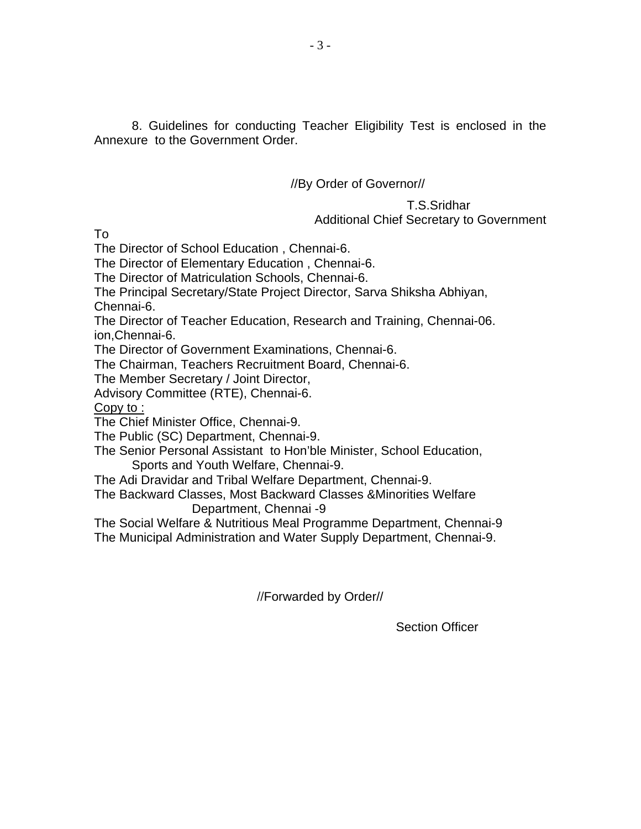8. Guidelines for conducting Teacher Eligibility Test is enclosed in the Annexure to the Government Order.

## //By Order of Governor//

## T.S.Sridhar Additional Chief Secretary to Government

To

The Director of School Education , Chennai-6.

The Director of Elementary Education , Chennai-6.

The Director of Matriculation Schools, Chennai-6.

The Principal Secretary/State Project Director, Sarva Shiksha Abhiyan, Chennai-6.

The Director of Teacher Education, Research and Training, Chennai-06. ion,Chennai-6.

The Director of Government Examinations, Chennai-6.

The Chairman, Teachers Recruitment Board, Chennai-6.

The Member Secretary / Joint Director,

Advisory Committee (RTE), Chennai-6.

Copy to :

The Chief Minister Office, Chennai-9.

The Public (SC) Department, Chennai-9.

The Senior Personal Assistant to Hon'ble Minister, School Education, Sports and Youth Welfare, Chennai-9.

The Adi Dravidar and Tribal Welfare Department, Chennai-9.

The Backward Classes, Most Backward Classes &Minorities Welfare Department, Chennai -9

The Social Welfare & Nutritious Meal Programme Department, Chennai-9 The Municipal Administration and Water Supply Department, Chennai-9.

//Forwarded by Order//

Section Officer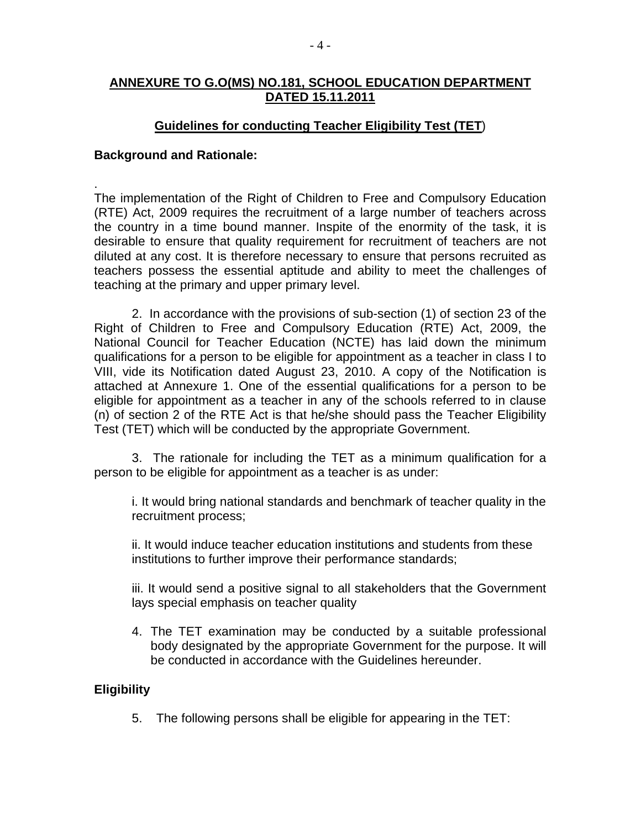### **ANNEXURE TO G.O(MS) NO.181, SCHOOL EDUCATION DEPARTMENT DATED 15.11.2011**

### **Guidelines for conducting Teacher Eligibility Test (TET**)

#### **Background and Rationale:**

. The implementation of the Right of Children to Free and Compulsory Education (RTE) Act, 2009 requires the recruitment of a large number of teachers across the country in a time bound manner. Inspite of the enormity of the task, it is desirable to ensure that quality requirement for recruitment of teachers are not diluted at any cost. It is therefore necessary to ensure that persons recruited as teachers possess the essential aptitude and ability to meet the challenges of teaching at the primary and upper primary level.

2. In accordance with the provisions of sub-section (1) of section 23 of the Right of Children to Free and Compulsory Education (RTE) Act, 2009, the National Council for Teacher Education (NCTE) has laid down the minimum qualifications for a person to be eligible for appointment as a teacher in class I to VIII, vide its Notification dated August 23, 2010. A copy of the Notification is attached at Annexure 1. One of the essential qualifications for a person to be eligible for appointment as a teacher in any of the schools referred to in clause (n) of section 2 of the RTE Act is that he/she should pass the Teacher Eligibility Test (TET) which will be conducted by the appropriate Government.

3. The rationale for including the TET as a minimum qualification for a person to be eligible for appointment as a teacher is as under:

i. It would bring national standards and benchmark of teacher quality in the recruitment process;

ii. It would induce teacher education institutions and students from these institutions to further improve their performance standards;

iii. It would send a positive signal to all stakeholders that the Government lays special emphasis on teacher quality

4. The TET examination may be conducted by a suitable professional body designated by the appropriate Government for the purpose. It will be conducted in accordance with the Guidelines hereunder.

#### **Eligibility**

5. The following persons shall be eligible for appearing in the TET: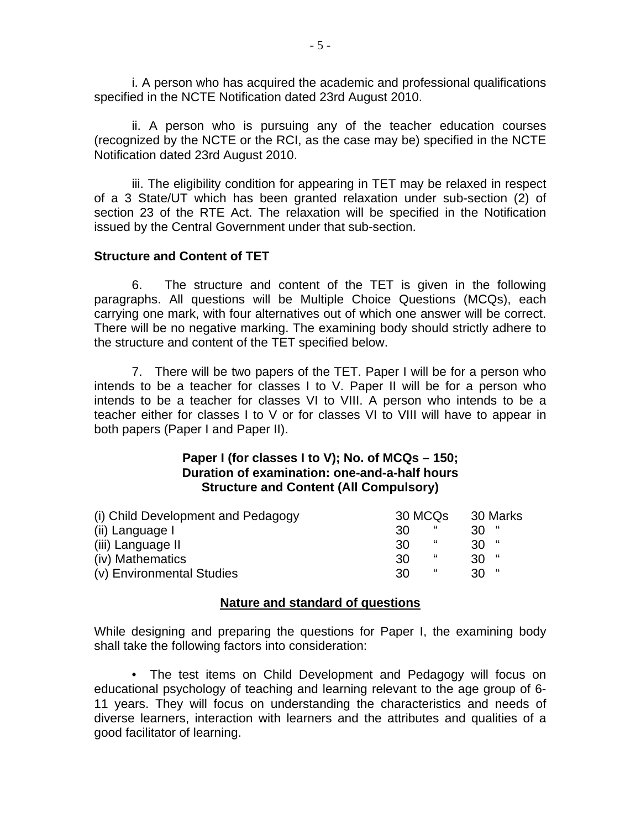i. A person who has acquired the academic and professional qualifications specified in the NCTE Notification dated 23rd August 2010.

ii. A person who is pursuing any of the teacher education courses (recognized by the NCTE or the RCI, as the case may be) specified in the NCTE Notification dated 23rd August 2010.

iii. The eligibility condition for appearing in TET may be relaxed in respect of a 3 State/UT which has been granted relaxation under sub-section (2) of section 23 of the RTE Act. The relaxation will be specified in the Notification issued by the Central Government under that sub-section.

#### **Structure and Content of TET**

6. The structure and content of the TET is given in the following paragraphs. All questions will be Multiple Choice Questions (MCQs), each carrying one mark, with four alternatives out of which one answer will be correct. There will be no negative marking. The examining body should strictly adhere to the structure and content of the TET specified below.

7. There will be two papers of the TET. Paper I will be for a person who intends to be a teacher for classes I to V. Paper II will be for a person who intends to be a teacher for classes VI to VIII. A person who intends to be a teacher either for classes I to V or for classes VI to VIII will have to appear in both papers (Paper I and Paper II).

#### **Paper I (for classes I to V); No. of MCQs – 150; Duration of examination: one-and-a-half hours Structure and Content (All Compulsory)**

| (i) Child Development and Pedagogy | 30 MCQs | 30 Marks |
|------------------------------------|---------|----------|
| (ii) Language I                    | "<br>30 | 30       |
| (iii) Language II                  | "<br>30 | $30$ "   |
| (iv) Mathematics                   | "<br>30 | $30$ "   |
| (v) Environmental Studies          | "<br>30 | $30$ "   |

#### **Nature and standard of questions**

While designing and preparing the questions for Paper I, the examining body shall take the following factors into consideration:

• The test items on Child Development and Pedagogy will focus on educational psychology of teaching and learning relevant to the age group of 6- 11 years. They will focus on understanding the characteristics and needs of diverse learners, interaction with learners and the attributes and qualities of a good facilitator of learning.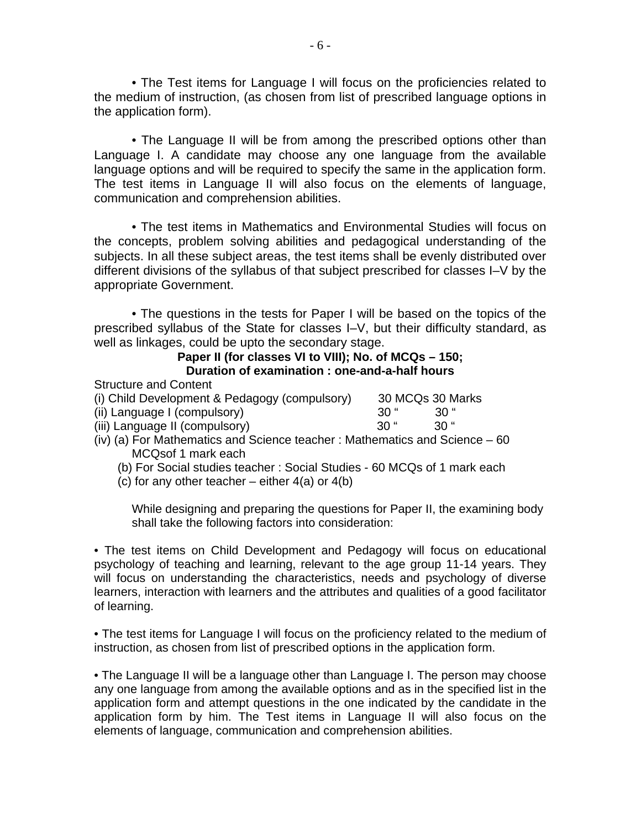• The Test items for Language I will focus on the proficiencies related to the medium of instruction, (as chosen from list of prescribed language options in the application form).

• The Language II will be from among the prescribed options other than Language I. A candidate may choose any one language from the available language options and will be required to specify the same in the application form. The test items in Language II will also focus on the elements of language, communication and comprehension abilities.

• The test items in Mathematics and Environmental Studies will focus on the concepts, problem solving abilities and pedagogical understanding of the subjects. In all these subject areas, the test items shall be evenly distributed over different divisions of the syllabus of that subject prescribed for classes I–V by the appropriate Government.

• The questions in the tests for Paper I will be based on the topics of the prescribed syllabus of the State for classes I–V, but their difficulty standard, as well as linkages, could be upto the secondary stage.

#### **Paper II (for classes VI to VIII); No. of MCQs – 150; Duration of examination : one-and-a-half hours**

Structure and Content

| (i) Child Development & Pedagogy (compulsory) |             | 30 MCQs 30 Marks |
|-----------------------------------------------|-------------|------------------|
| (ii) Language L(compulsory)                   | <b>20 "</b> | ี ?∩ "           |

| (ii) Language I (compulsory)   | 30 "   | $30$ " |
|--------------------------------|--------|--------|
| (iii) Language II (compulsory) | - 30 " | $30$ " |

- (iv) (a) For Mathematics and Science teacher : Mathematics and Science 60 MCQsof 1 mark each
	- (b) For Social studies teacher : Social Studies 60 MCQs of 1 mark each
	- (c) for any other teacher either  $4(a)$  or  $4(b)$

While designing and preparing the questions for Paper II, the examining body shall take the following factors into consideration:

• The test items on Child Development and Pedagogy will focus on educational psychology of teaching and learning, relevant to the age group 11-14 years. They will focus on understanding the characteristics, needs and psychology of diverse learners, interaction with learners and the attributes and qualities of a good facilitator of learning.

• The test items for Language I will focus on the proficiency related to the medium of instruction, as chosen from list of prescribed options in the application form.

• The Language II will be a language other than Language I. The person may choose any one language from among the available options and as in the specified list in the application form and attempt questions in the one indicated by the candidate in the application form by him. The Test items in Language II will also focus on the elements of language, communication and comprehension abilities.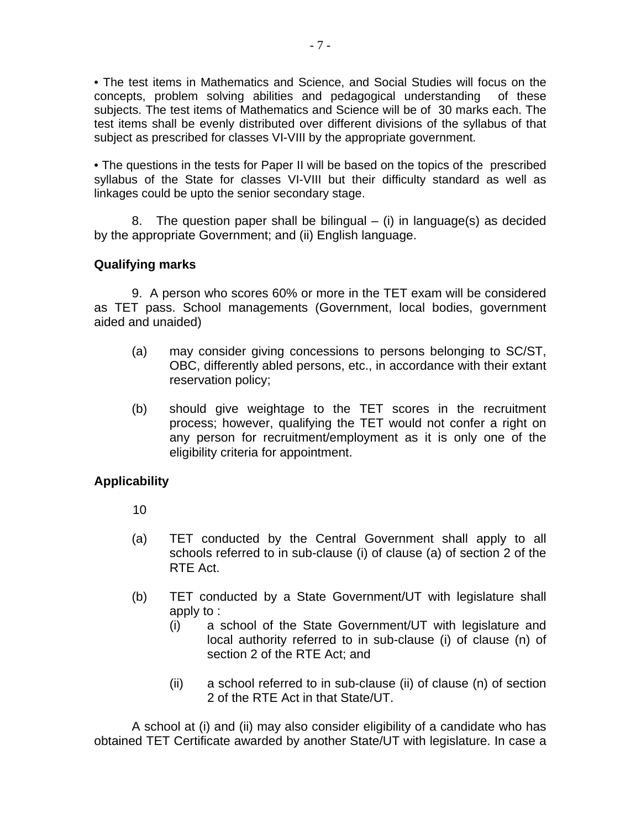• The test items in Mathematics and Science, and Social Studies will focus on the concepts, problem solving abilities and pedagogical understanding of these subjects. The test items of Mathematics and Science will be of 30 marks each. The test items shall be evenly distributed over different divisions of the syllabus of that subject as prescribed for classes VI-VIII by the appropriate government.

• The questions in the tests for Paper II will be based on the topics of the prescribed syllabus of the State for classes VI-VIII but their difficulty standard as well as linkages could be upto the senior secondary stage.

8. The question paper shall be bilingual  $-$  (i) in language(s) as decided by the appropriate Government; and (ii) English language.

## **Qualifying marks**

9. A person who scores 60% or more in the TET exam will be considered as TET pass. School managements (Government, local bodies, government aided and unaided)

- (a) may consider giving concessions to persons belonging to SC/ST, OBC, differently abled persons, etc., in accordance with their extant reservation policy;
- (b) should give weightage to the TET scores in the recruitment process; however, qualifying the TET would not confer a right on any person for recruitment/employment as it is only one of the eligibility criteria for appointment.

## **Applicability**

- 10
- (a) TET conducted by the Central Government shall apply to all schools referred to in sub-clause (i) of clause (a) of section 2 of the RTE Act.
- (b) TET conducted by a State Government/UT with legislature shall apply to :
	- (i) a school of the State Government/UT with legislature and local authority referred to in sub-clause (i) of clause (n) of section 2 of the RTE Act; and
	- (ii) a school referred to in sub-clause (ii) of clause (n) of section 2 of the RTE Act in that State/UT.

A school at (i) and (ii) may also consider eligibility of a candidate who has obtained TET Certificate awarded by another State/UT with legislature. In case a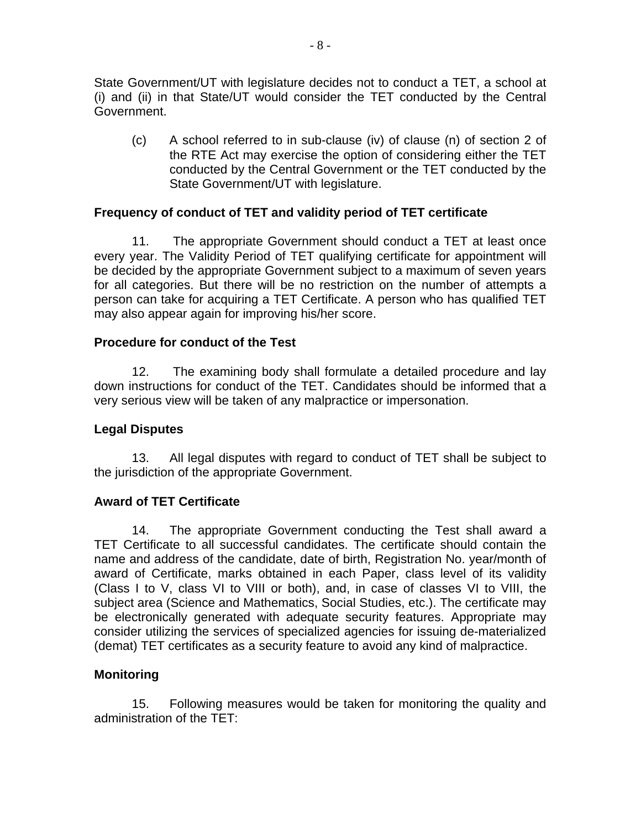State Government/UT with legislature decides not to conduct a TET, a school at (i) and (ii) in that State/UT would consider the TET conducted by the Central Government.

(c) A school referred to in sub-clause (iv) of clause (n) of section 2 of the RTE Act may exercise the option of considering either the TET conducted by the Central Government or the TET conducted by the State Government/UT with legislature.

## **Frequency of conduct of TET and validity period of TET certificate**

11. The appropriate Government should conduct a TET at least once every year. The Validity Period of TET qualifying certificate for appointment will be decided by the appropriate Government subject to a maximum of seven years for all categories. But there will be no restriction on the number of attempts a person can take for acquiring a TET Certificate. A person who has qualified TET may also appear again for improving his/her score.

#### **Procedure for conduct of the Test**

12. The examining body shall formulate a detailed procedure and lay down instructions for conduct of the TET. Candidates should be informed that a very serious view will be taken of any malpractice or impersonation.

#### **Legal Disputes**

13. All legal disputes with regard to conduct of TET shall be subject to the jurisdiction of the appropriate Government.

#### **Award of TET Certificate**

14. The appropriate Government conducting the Test shall award a TET Certificate to all successful candidates. The certificate should contain the name and address of the candidate, date of birth, Registration No. year/month of award of Certificate, marks obtained in each Paper, class level of its validity (Class I to V, class VI to VIII or both), and, in case of classes VI to VIII, the subject area (Science and Mathematics, Social Studies, etc.). The certificate may be electronically generated with adequate security features. Appropriate may consider utilizing the services of specialized agencies for issuing de-materialized (demat) TET certificates as a security feature to avoid any kind of malpractice.

#### **Monitoring**

15. Following measures would be taken for monitoring the quality and administration of the TET: